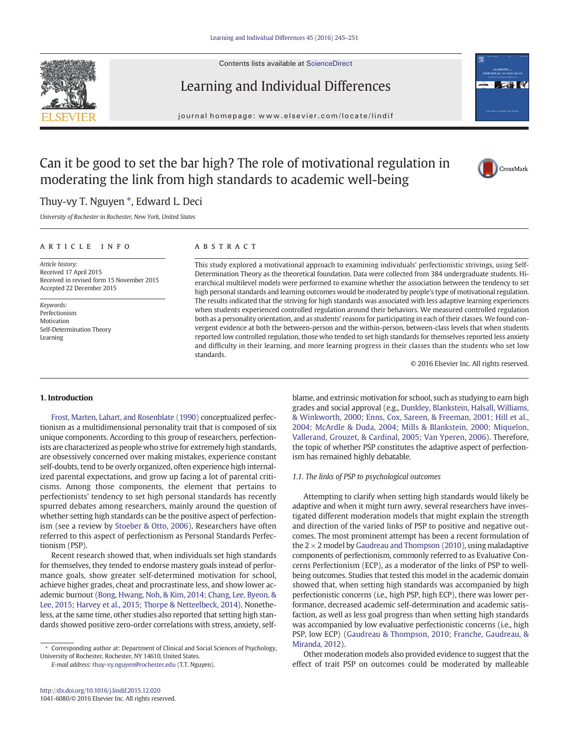Contents lists available at ScienceDirect



# Learning and Individual Differences

journal homepage:<www.elsevier.com/locate/lindif>



## Can it be good to set the bar high? The role of motivational regulation in moderating the link from high standards to academic well-being



## Thuy-vy T. Nguyen  $*$ , Edward L. Deci

University of Rochester in Rochester, New York, United States

### article info abstract

Article history: Received 17 April 2015 Received in revised form 15 November 2015 Accepted 22 December 2015

Keywords: Perfectionism Motivation Self-Determination Theory Learning

This study explored a motivational approach to examining individuals' perfectionistic strivings, using Self-Determination Theory as the theoretical foundation. Data were collected from 384 undergraduate students. Hierarchical multilevel models were performed to examine whether the association between the tendency to set high personal standards and learning outcomes would be moderated by people's type of motivational regulation. The results indicated that the striving for high standards was associated with less adaptive learning experiences when students experienced controlled regulation around their behaviors. We measured controlled regulation both as a personality orientation, and as students' reasons for participating in each of their classes. We found convergent evidence at both the between-person and the within-person, between-class levels that when students reported low controlled regulation, those who tended to set high standards for themselves reported less anxiety and difficulty in their learning, and more learning progress in their classes than the students who set low standards.

© 2016 Elsevier Inc. All rights reserved.

#### 1. Introduction

[Frost, Marten, Lahart, and Rosenblate \(1990\)](#page-6-0) conceptualized perfectionism as a multidimensional personality trait that is composed of six unique components. According to this group of researchers, perfectionists are characterized as people who strive for extremely high standards, are obsessively concerned over making mistakes, experience constant self-doubts, tend to be overly organized, often experience high internalized parental expectations, and grow up facing a lot of parental criticisms. Among those components, the element that pertains to perfectionists' tendency to set high personal standards has recently spurred debates among researchers, mainly around the question of whether setting high standards can be the positive aspect of perfectionism (see a review by [Stoeber & Otto, 2006\)](#page-6-0). Researchers have often referred to this aspect of perfectionism as Personal Standards Perfectionism (PSP).

Recent research showed that, when individuals set high standards for themselves, they tended to endorse mastery goals instead of performance goals, show greater self-determined motivation for school, achieve higher grades, cheat and procrastinate less, and show lower academic burnout [\(Bong, Hwang, Noh, & Kim, 2014; Chang, Lee, Byeon, &](#page-6-0) [Lee, 2015; Harvey et al., 2015; Thorpe & Netteelbeck, 2014](#page-6-0)). Nonetheless, at the same time, other studies also reported that setting high standards showed positive zero-order correlations with stress, anxiety, self-

E-mail address: [thuy-vy.nguyen@rochester.edu](mailto:thuynguyen@rochester.edu) (T.T. Nguyen).

blame, and extrinsic motivation for school, such as studying to earn high grades and social approval (e.g., [Dunkley, Blankstein, Halsall, Williams,](#page-6-0) [& Winkworth, 2000; Enns, Cox, Sareen, & Freeman, 2001; Hill et al.,](#page-6-0) [2004; McArdle & Duda, 2004; Mills & Blankstein, 2000; Miquelon,](#page-6-0) [Vallerand, Grouzet, & Cardinal, 2005; Van Yperen, 2006](#page-6-0)). Therefore, the topic of whether PSP constitutes the adaptive aspect of perfectionism has remained highly debatable.

#### 1.1. The links of PSP to psychological outcomes

Attempting to clarify when setting high standards would likely be adaptive and when it might turn awry, several researchers have investigated different moderation models that might explain the strength and direction of the varied links of PSP to positive and negative outcomes. The most prominent attempt has been a recent formulation of the  $2 \times 2$  model by [Gaudreau and Thompson \(2010\)](#page-6-0), using maladaptive components of perfectionism, commonly referred to as Evaluative Concerns Perfectionism (ECP), as a moderator of the links of PSP to wellbeing outcomes. Studies that tested this model in the academic domain showed that, when setting high standards was accompanied by high perfectionistic concerns (i.e., high PSP, high ECP), there was lower performance, decreased academic self-determination and academic satisfaction, as well as less goal progress than when setting high standards was accompanied by low evaluative perfectionistic concerns (i.e., high PSP, low ECP) [\(Gaudreau & Thompson, 2010; Franche, Gaudreau, &](#page-6-0) [Miranda, 2012](#page-6-0)).

Other moderation models also provided evidence to suggest that the effect of trait PSP on outcomes could be moderated by malleable

<sup>⁎</sup> Corresponding author at: Department of Clinical and Social Sciences of Psychology, University of Rochester, Rochester, NY 14610, United States.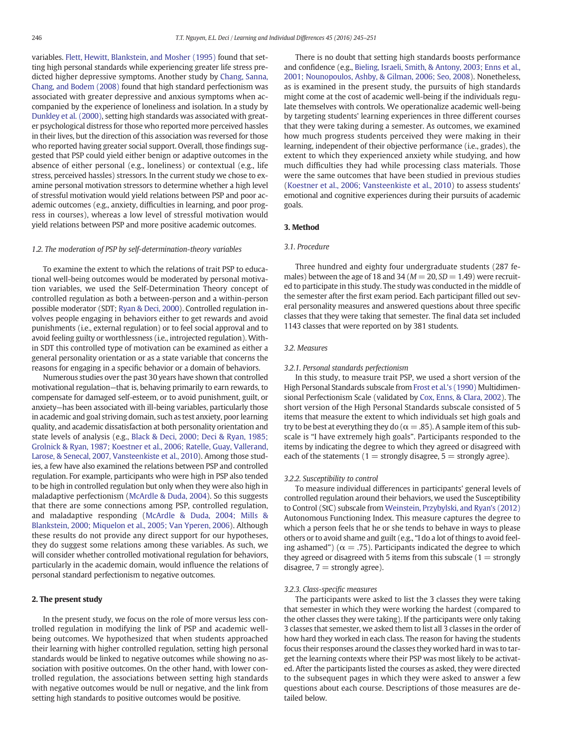variables. [Flett, Hewitt, Blankstein, and Mosher \(1995\)](#page-6-0) found that setting high personal standards while experiencing greater life stress predicted higher depressive symptoms. Another study by [Chang, Sanna,](#page-6-0) [Chang, and Bodem \(2008\)](#page-6-0) found that high standard perfectionism was associated with greater depressive and anxious symptoms when accompanied by the experience of loneliness and isolation. In a study by [Dunkley et al. \(2000\)](#page-6-0), setting high standards was associated with greater psychological distress for those who reported more perceived hassles in their lives, but the direction of this association was reversed for those who reported having greater social support. Overall, those findings suggested that PSP could yield either benign or adaptive outcomes in the absence of either personal (e.g., loneliness) or contextual (e.g., life stress, perceived hassles) stressors. In the current study we chose to examine personal motivation stressors to determine whether a high level of stressful motivation would yield relations between PSP and poor academic outcomes (e.g., anxiety, difficulties in learning, and poor progress in courses), whereas a low level of stressful motivation would yield relations between PSP and more positive academic outcomes.

#### 1.2. The moderation of PSP by self-determination-theory variables

To examine the extent to which the relations of trait PSP to educational well-being outcomes would be moderated by personal motivation variables, we used the Self-Determination Theory concept of controlled regulation as both a between-person and a within-person possible moderator (SDT; [Ryan & Deci, 2000](#page-6-0)). Controlled regulation involves people engaging in behaviors either to get rewards and avoid punishments (i.e., external regulation) or to feel social approval and to avoid feeling guilty or worthlessness (i.e., introjected regulation). Within SDT this controlled type of motivation can be examined as either a general personality orientation or as a state variable that concerns the reasons for engaging in a specific behavior or a domain of behaviors.

Numerous studies over the past 30 years have shown that controlled motivational regulation—that is, behaving primarily to earn rewards, to compensate for damaged self-esteem, or to avoid punishment, guilt, or anxiety—has been associated with ill-being variables, particularly those in academic and goal striving domain, such as test anxiety, poor learning quality, and academic dissatisfaction at both personality orientation and state levels of analysis (e.g., [Black & Deci, 2000; Deci & Ryan, 1985;](#page-6-0) [Grolnick & Ryan, 1987; Koestner et al., 2006; Ratelle, Guay, Vallerand,](#page-6-0) [Larose, & Senecal, 2007, Vansteenkiste et al., 2010\)](#page-6-0). Among those studies, a few have also examined the relations between PSP and controlled regulation. For example, participants who were high in PSP also tended to be high in controlled regulation but only when they were also high in maladaptive perfectionism [\(McArdle & Duda, 2004\)](#page-6-0). So this suggests that there are some connections among PSP, controlled regulation, and maladaptive responding ([McArdle & Duda, 2004; Mills &](#page-6-0) [Blankstein, 2000; Miquelon et al., 2005; Van Yperen, 2006\)](#page-6-0). Although these results do not provide any direct support for our hypotheses, they do suggest some relations among these variables. As such, we will consider whether controlled motivational regulation for behaviors, particularly in the academic domain, would influence the relations of personal standard perfectionism to negative outcomes.

#### 2. The present study

In the present study, we focus on the role of more versus less controlled regulation in modifying the link of PSP and academic wellbeing outcomes. We hypothesized that when students approached their learning with higher controlled regulation, setting high personal standards would be linked to negative outcomes while showing no association with positive outcomes. On the other hand, with lower controlled regulation, the associations between setting high standards with negative outcomes would be null or negative, and the link from setting high standards to positive outcomes would be positive.

There is no doubt that setting high standards boosts performance and confidence (e.g., [Bieling, Israeli, Smith, & Antony, 2003; Enns et al.,](#page-6-0) [2001; Nounopoulos, Ashby, & Gilman, 2006; Seo, 2008](#page-6-0)). Nonetheless, as is examined in the present study, the pursuits of high standards might come at the cost of academic well-being if the individuals regulate themselves with controls. We operationalize academic well-being by targeting students' learning experiences in three different courses that they were taking during a semester. As outcomes, we examined how much progress students perceived they were making in their learning, independent of their objective performance (i.e., grades), the extent to which they experienced anxiety while studying, and how much difficulties they had while processing class materials. Those were the same outcomes that have been studied in previous studies [\(Koestner et al., 2006; Vansteenkiste et al., 2010](#page-6-0)) to assess students' emotional and cognitive experiences during their pursuits of academic goals.

#### 3. Method

#### 3.1. Procedure

Three hundred and eighty four undergraduate students (287 females) between the age of 18 and 34 ( $M = 20$ ,  $SD = 1.49$ ) were recruited to participate in this study. The study was conducted in the middle of the semester after the first exam period. Each participant filled out several personality measures and answered questions about three specific classes that they were taking that semester. The final data set included 1143 classes that were reported on by 381 students.

#### 3.2. Measures

#### 3.2.1. Personal standards perfectionism

In this study, to measure trait PSP, we used a short version of the High Personal Standards subscale from [Frost et al.'s \(1990\)](#page-6-0) Multidimensional Perfectionism Scale (validated by [Cox, Enns, & Clara, 2002](#page-6-0)). The short version of the High Personal Standards subscale consisted of 5 items that measure the extent to which individuals set high goals and try to be best at everything they do ( $\alpha = .85$ ). A sample item of this subscale is "I have extremely high goals". Participants responded to the items by indicating the degree to which they agreed or disagreed with each of the statements ( $1 =$  strongly disagree,  $5 =$  strongly agree).

#### 3.2.2. Susceptibility to control

To measure individual differences in participants' general levels of controlled regulation around their behaviors, we used the Susceptibility to Control (StC) subscale from [Weinstein, Przybylski, and Ryan's \(2012\)](#page-6-0) Autonomous Functioning Index. This measure captures the degree to which a person feels that he or she tends to behave in ways to please others or to avoid shame and guilt (e.g., "I do a lot of things to avoid feeling ashamed") ( $\alpha = .75$ ). Participants indicated the degree to which they agreed or disagreed with 5 items from this subscale  $(1 =$  strongly disagree,  $7 =$  strongly agree).

#### 3.2.3. Class-specific measures

The participants were asked to list the 3 classes they were taking that semester in which they were working the hardest (compared to the other classes they were taking). If the participants were only taking 3 classes that semester, we asked them to list all 3 classes in the order of how hard they worked in each class. The reason for having the students focus their responses around the classes they worked hard in was to target the learning contexts where their PSP was most likely to be activated. After the participants listed the courses as asked, they were directed to the subsequent pages in which they were asked to answer a few questions about each course. Descriptions of those measures are detailed below.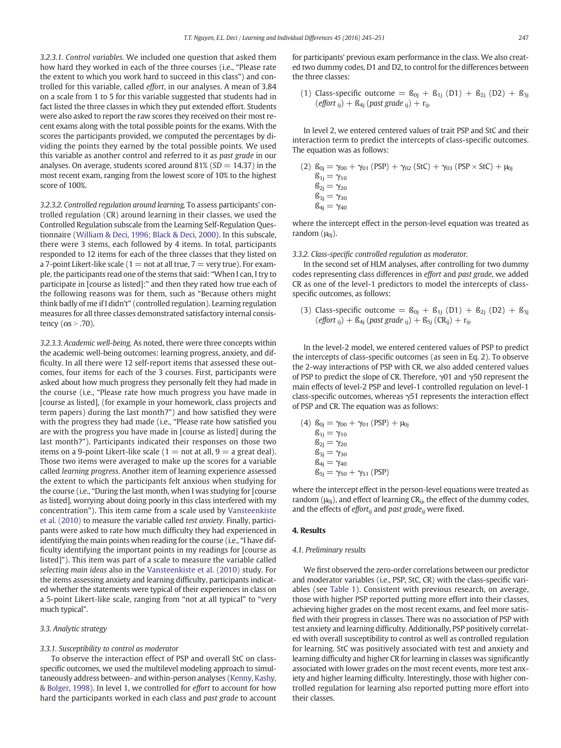3.2.3.1. Control variables. We included one question that asked them how hard they worked in each of the three courses (i.e., "Please rate the extent to which you work hard to succeed in this class") and controlled for this variable, called effort, in our analyses. A mean of 3.84 on a scale from 1 to 5 for this variable suggested that students had in fact listed the three classes in which they put extended effort. Students were also asked to report the raw scores they received on their most recent exams along with the total possible points for the exams. With the scores the participants provided, we computed the percentages by dividing the points they earned by the total possible points. We used this variable as another control and referred to it as past grade in our analyses. On average, students scored around  $81\%$  (SD = 14.37) in the most recent exam, ranging from the lowest score of 10% to the highest score of 100%.

3.2.3.2. Controlled regulation around learning. To assess participants' controlled regulation (CR) around learning in their classes, we used the Controlled Regulation subscale from the Learning Self-Regulation Questionnaire [\(William & Deci, 1996; Black & Deci, 2000](#page-6-0)). In this subscale, there were 3 stems, each followed by 4 items. In total, participants responded to 12 items for each of the three classes that they listed on a 7-point Likert-like scale (1 = not at all true, 7 = very true). For example, the participants read one of the stems that said: "When I can, I try to participate in [course as listed]:" and then they rated how true each of the following reasons was for them, such as "Because others might think badly of me if I didn't" (controlled regulation). Learning regulation measures for all three classes demonstrated satisfactory internal consistency  $(\alpha s > .70)$ .

3.2.3.3. Academic well-being. As noted, there were three concepts within the academic well-being outcomes: learning progress, anxiety, and difficulty. In all there were 12 self-report items that assessed these outcomes, four items for each of the 3 courses. First, participants were asked about how much progress they personally felt they had made in the course (i.e., "Please rate how much progress you have made in [course as listed], (for example in your homework, class projects and term papers) during the last month?") and how satisfied they were with the progress they had made (i.e., "Please rate how satisfied you are with the progress you have made in [course as listed] during the last month?"). Participants indicated their responses on those two items on a 9-point Likert-like scale ( $1 =$  not at all,  $9 =$  a great deal). Those two items were averaged to make up the scores for a variable called learning progress. Another item of learning experience assessed the extent to which the participants felt anxious when studying for the course (i.e., "During the last month, when I was studying for [course as listed], worrying about doing poorly in this class interfered with my concentration"). This item came from a scale used by [Vansteenkiste](#page-6-0) [et al. \(2010\)](#page-6-0) to measure the variable called test anxiety. Finally, participants were asked to rate how much difficulty they had experienced in identifying the main points when reading for the course (i.e., "I have difficulty identifying the important points in my readings for [course as listed]"). This item was part of a scale to measure the variable called selecting main ideas also in the [Vansteenkiste et al. \(2010\)](#page-6-0) study. For the items assessing anxiety and learning difficulty, participants indicated whether the statements were typical of their experiences in class on a 5-point Likert-like scale, ranging from "not at all typical" to "very much typical".

#### 3.3. Analytic strategy

#### 3.3.1. Susceptibility to control as moderator

To observe the interaction effect of PSP and overall StC on classspecific outcomes, we used the multilevel modeling approach to simultaneously address between- and within-person analyses ([Kenny, Kashy,](#page-6-0) [& Bolger, 1998](#page-6-0)). In level 1, we controlled for effort to account for how hard the participants worked in each class and past grade to account for participants' previous exam performance in the class. We also created two dummy codes, D1 and D2, to control for the differences between the three classes:

(1) Class-specific outcome =  $R_{0j}$  +  $R_{1j}$  (D1) +  $R_{2j}$  (D2) +  $R_{3j}$  $\text{(effort}_{ij})+\text{B}_{4j}$  (past grade  $\text{ij})+\text{r}_{ij}$ .

In level 2, we entered centered values of trait PSP and StC and their interaction term to predict the intercepts of class-specific outcomes. The equation was as follows:

(2) 
$$
R_{0j} = \gamma_{00} + \gamma_{01} (PSP) + \gamma_{02} (StC) + \gamma_{03} (PSP \times StC) + \mu_{0j}
$$

$$
R_{1j} = \gamma_{10}
$$

$$
R_{2j} = \gamma_{20}
$$

$$
R_{3j} = \gamma_{30}
$$

$$
R_{4j} = \gamma_{40}
$$

where the intercept effect in the person-level equation was treated as random  $(\mu_{0i})$ .

#### 3.3.2. Class-specific controlled regulation as moderator.

In the second set of HLM analyses, after controlling for two dummy codes representing class differences in effort and past grade, we added CR as one of the level-1 predictors to model the intercepts of classspecific outcomes, as follows:

(3) Class-specific outcome =  $\text{R}_{0j}$  +  $\text{R}_{1j}$  (D1) +  $\text{R}_{2j}$  (D2) +  $\text{R}_{3j}$  $(effort_{ij})+B_{4j}$  (past grade <sub>ij</sub>) +  $B_{5j}$  (CR<sub>ij</sub>) + r<sub>ij</sub>.

In the level-2 model, we entered centered values of PSP to predict the intercepts of class-specific outcomes (as seen in Eq. 2). To observe the 2-way interactions of PSP with CR, we also added centered values of PSP to predict the slope of CR. Therefore, γ01 and γ50 represent the main effects of level-2 PSP and level-1 controlled regulation on level-1 class-specific outcomes, whereas γ51 represents the interaction effect of PSP and CR. The equation was as follows:

(4) 
$$
R_{0j} = \gamma_{00} + \gamma_{01} (PSP) + \mu_{0j}
$$

$$
R_{1j} = \gamma_{10}
$$

$$
R_{2j} = \gamma_{20}
$$

$$
R_{3j} = \gamma_{30}
$$

$$
R_{4j} = \gamma_{40}
$$

$$
R_{5j} = \gamma_{50} + \gamma_{51} (PSP)
$$

where the intercept effect in the person-level equations were treated as random ( $\mu_{0i}$ ), and effect of learning CR<sub>ii</sub>, the effect of the dummy codes, and the effects of effort $_{ij}$  and past grade $_{ij}$  were fixed.

#### 4. Results

#### 4.1. Preliminary results

We first observed the zero-order correlations between our predictor and moderator variables (i.e., PSP, StC, CR) with the class-specific variables (see [Table 1](#page-3-0)). Consistent with previous research, on average, those with higher PSP reported putting more effort into their classes, achieving higher grades on the most recent exams, and feel more satisfied with their progress in classes. There was no association of PSP with test anxiety and learning difficulty. Additionally, PSP positively correlated with overall susceptibility to control as well as controlled regulation for learning. StC was positively associated with test and anxiety and learning difficulty and higher CR for learning in classes was significantly associated with lower grades on the most recent events, more test anxiety and higher learning difficulty. Interestingly, those with higher controlled regulation for learning also reported putting more effort into their classes.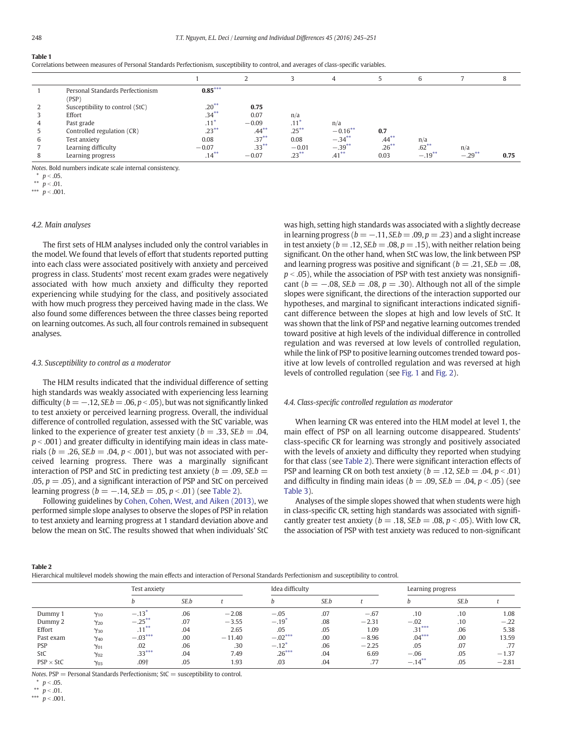#### <span id="page-3-0"></span>Table 1

Correlations between measures of Personal Standards Perfectionism, susceptibility to control, and averages of class-specific variables.

|   |                                           |           |          |          | 4          |          | 6         |           | 8    |
|---|-------------------------------------------|-----------|----------|----------|------------|----------|-----------|-----------|------|
|   | Personal Standards Perfectionism<br>(PSP) | $0.85***$ |          |          |            |          |           |           |      |
| 2 | Susceptibility to control (StC)           | $.20***$  | 0.75     |          |            |          |           |           |      |
|   | Effort                                    | $.34***$  | 0.07     | n/a      |            |          |           |           |      |
| 4 | Past grade                                | $.11*$    | $-0.09$  | .11      | n/a        |          |           |           |      |
|   | Controlled regulation (CR)                | $.23***$  | $.44***$ | $.25***$ | $-0.16***$ | 0.7      |           |           |      |
| 6 | Test anxiety                              | 0.08      | $.37***$ | 0.08     | $-.34***$  | $.44***$ | n/a       |           |      |
|   | Learning difficulty                       | $-0.07$   | $.33***$ | $-0.01$  | $-.39***$  | $.26***$ | $.62***$  | n/a       |      |
| 8 | Learning progress                         | $.14***$  | $-0.07$  | $.23***$ | $.41***$   | 0.03     | $-.19***$ | $-.29***$ | 0.75 |

Notes. Bold numbers indicate scale internal consistency.

\*\*  $p < .01$ .

\*\*\*  $p < .001$ .

#### 4.2. Main analyses

The first sets of HLM analyses included only the control variables in the model. We found that levels of effort that students reported putting into each class were associated positively with anxiety and perceived progress in class. Students' most recent exam grades were negatively associated with how much anxiety and difficulty they reported experiencing while studying for the class, and positively associated with how much progress they perceived having made in the class. We also found some differences between the three classes being reported on learning outcomes. As such, all four controls remained in subsequent analyses.

#### 4.3. Susceptibility to control as a moderator

The HLM results indicated that the individual difference of setting high standards was weakly associated with experiencing less learning difficulty ( $b = -.12$ ,  $SE$ , $b = .06$ ,  $p < .05$ ), but was not significantly linked to test anxiety or perceived learning progress. Overall, the individual difference of controlled regulation, assessed with the StC variable, was linked to the experience of greater test anxiety ( $b = 0.33$ , SE,  $b = 0.04$ ,  $p < .001$ ) and greater difficulty in identifying main ideas in class materials ( $b = 0.26$ , SE, $b = 0.04$ ,  $p < 0.001$ ), but was not associated with perceived learning progress. There was a marginally significant interaction of PSP and StC in predicting test anxiety ( $b = .09$ , SE, $b =$ .05,  $p = .05$ ), and a significant interaction of PSP and StC on perceived learning progress ( $b = -.14$ , SE, $b = .05$ ,  $p < .01$ ) (see Table 2).

Following guidelines by [Cohen, Cohen, West, and Aiken \(2013\)](#page-6-0), we performed simple slope analyses to observe the slopes of PSP in relation to test anxiety and learning progress at 1 standard deviation above and below the mean on StC. The results showed that when individuals' StC was high, setting high standards was associated with a slightly decrease in learning progress ( $b = -.11$ , SE, $b = .09$ ,  $p = .23$ ) and a slight increase in test anxiety ( $b = .12$ ,  $SE_b = .08$ ,  $p = .15$ ), with neither relation being significant. On the other hand, when StC was low, the link between PSP and learning progress was positive and significant ( $b = .21$ ,  $SE_b = .08$ ,  $p < .05$ ), while the association of PSP with test anxiety was nonsignificant ( $b = -.08$ ,  $SE_b = .08$ ,  $p = .30$ ). Although not all of the simple slopes were significant, the directions of the interaction supported our hypotheses, and marginal to significant interactions indicated significant difference between the slopes at high and low levels of StC. It was shown that the link of PSP and negative learning outcomes trended toward positive at high levels of the individual difference in controlled regulation and was reversed at low levels of controlled regulation, while the link of PSP to positive learning outcomes trended toward positive at low levels of controlled regulation and was reversed at high levels of controlled regulation (see [Fig. 1](#page-4-0) and [Fig. 2](#page-4-0)).

#### 4.4. Class-specific controlled regulation as moderator

When learning CR was entered into the HLM model at level 1, the main effect of PSP on all learning outcome disappeared. Students' class-specific CR for learning was strongly and positively associated with the levels of anxiety and difficulty they reported when studying for that class (see Table 2). There were significant interaction effects of PSP and learning CR on both test anxiety ( $b = .12$ ,  $SE_b = .04$ ,  $p < .01$ ) and difficulty in finding main ideas ( $b = .09$ ,  $SE_b = .04$ ,  $p < .05$ ) (see [Table 3](#page-5-0)).

Analyses of the simple slopes showed that when students were high in class-specific CR, setting high standards was associated with significantly greater test anxiety ( $b = .18$ ,  $SE.b = .08$ ,  $p < .05$ ). With low CR, the association of PSP with test anxiety was reduced to non-significant

#### Table 2

|                  |               | Test anxiety |      |          | Idea difficulty     |      |         | Learning progress |      |         |
|------------------|---------------|--------------|------|----------|---------------------|------|---------|-------------------|------|---------|
|                  |               |              | SE.b |          |                     | SE.b |         |                   | SE.b |         |
| Dummy 1          | $\gamma_{10}$ | $-.13$       | .06  | $-2.08$  | $-.05$              | .07  | $-.67$  | .10               | .10  | 1.08    |
| Dummy 2          | $\gamma_{20}$ | $-.25***$    | .07  | $-3.55$  | $-.19$ <sup>*</sup> | .08  | $-2.31$ | $-.02$            | .10  | $-.22$  |
| Effort           | $\gamma_{30}$ | $.11***$     | .04  | 2.65     | .05                 | .05  | 1.09    | $.31***$          | .06  | 5.38    |
| Past exam        | $\gamma_{40}$ | $-.03***$    | .00  | $-11.40$ | $-.02***$           | .00  | $-8.96$ | $.04***$          | .00  | 13.59   |
| <b>PSP</b>       | $\gamma_{01}$ | .02          | .06  | .30      | $-.12$ <sup>*</sup> | .06  | $-2.25$ | .05               | .07  | .77     |
| StC              | $\gamma_{02}$ | $.33***$     | .04  | 7.49     | $.26***$            | .04  | 6.69    | $-.06$            | .05  | $-1.37$ |
| $PSP \times StC$ | $\gamma_{03}$ | .09†         | .05  | 1.93     | .03                 | .04  | .77     | $-.14***$         | .05  | $-2.81$ |

Notes.  $PSP =$  Personal Standards Perfectionism;  $StC =$  susceptibility to control.

 $p < .05$ .

\*\*  $p < .01$ .

\*\*\*  $p < .001$ .

 $p < .05$ .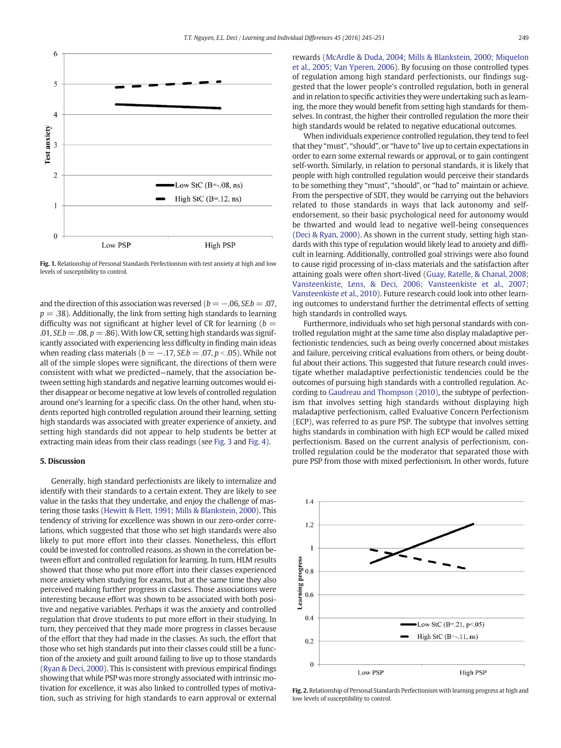<span id="page-4-0"></span>

Fig. 1. Relationship of Personal Standards Perfectionism with test anxiety at high and low levels of susceptibility to control.

and the direction of this association was reversed ( $b = -.06$ ,  $SE$ , $b = .07$ ,  $p = 0.38$ . Additionally, the link from setting high standards to learning difficulty was not significant at higher level of CR for learning ( $b =$ .01,  $SEb = .08$ ,  $p = .86$ ). With low CR, setting high standards was significantly associated with experiencing less difficulty in finding main ideas when reading class materials ( $b = -.17$ ,  $SE_b = .07$ ,  $p < .05$ ). While not all of the simple slopes were significant, the directions of them were consistent with what we predicted—namely, that the association between setting high standards and negative learning outcomes would either disappear or become negative at low levels of controlled regulation around one's learning for a specific class. On the other hand, when students reported high controlled regulation around their learning, setting high standards was associated with greater experience of anxiety, and setting high standards did not appear to help students be better at extracting main ideas from their class readings (see [Fig. 3](#page-5-0) and [Fig. 4](#page-5-0)).

### 5. Discussion

Generally, high standard perfectionists are likely to internalize and identify with their standards to a certain extent. They are likely to see value in the tasks that they undertake, and enjoy the challenge of mastering those tasks [\(Hewitt & Flett, 1991; Mills & Blankstein, 2000\)](#page-6-0). This tendency of striving for excellence was shown in our zero-order correlations, which suggested that those who set high standards were also likely to put more effort into their classes. Nonetheless, this effort could be invested for controlled reasons, as shown in the correlation between effort and controlled regulation for learning. In turn, HLM results showed that those who put more effort into their classes experienced more anxiety when studying for exams, but at the same time they also perceived making further progress in classes. Those associations were interesting because effort was shown to be associated with both positive and negative variables. Perhaps it was the anxiety and controlled regulation that drove students to put more effort in their studying. In turn, they perceived that they made more progress in classes because of the effort that they had made in the classes. As such, the effort that those who set high standards put into their classes could still be a function of the anxiety and guilt around failing to live up to those standards [\(Ryan & Deci, 2000\)](#page-6-0). This is consistent with previous empirical findings showing that while PSP was more strongly associated with intrinsic motivation for excellence, it was also linked to controlled types of motivation, such as striving for high standards to earn approval or external rewards [\(McArdle & Duda, 2004; Mills & Blankstein, 2000; Miquelon](#page-6-0) [et al., 2005; Van Yperen, 2006\)](#page-6-0). By focusing on those controlled types of regulation among high standard perfectionists, our findings suggested that the lower people's controlled regulation, both in general and in relation to specific activities they were undertaking such as learning, the more they would benefit from setting high standards for themselves. In contrast, the higher their controlled regulation the more their high standards would be related to negative educational outcomes.

When individuals experience controlled regulation, they tend to feel that they "must", "should", or "have to" live up to certain expectations in order to earn some external rewards or approval, or to gain contingent self-worth. Similarly, in relation to personal standards, it is likely that people with high controlled regulation would perceive their standards to be something they "must", "should", or "had to" maintain or achieve. From the perspective of SDT, they would be carrying out the behaviors related to those standards in ways that lack autonomy and selfendorsement, so their basic psychological need for autonomy would be thwarted and would lead to negative well-being consequences [\(Deci & Ryan, 2000](#page-6-0)). As shown in the current study, setting high standards with this type of regulation would likely lead to anxiety and difficult in learning. Additionally, controlled goal strivings were also found to cause rigid processing of in-class materials and the satisfaction after attaining goals were often short-lived ([Guay, Ratelle, & Chanal, 2008;](#page-6-0) [Vansteenkiste, Lens, & Deci, 2006; Vansteenkiste et al., 2007;](#page-6-0) [Vansteenkiste et al., 2010](#page-6-0)). Future research could look into other learning outcomes to understand further the detrimental effects of setting high standards in controlled ways.

Furthermore, individuals who set high personal standards with controlled regulation might at the same time also display maladaptive perfectionistic tendencies, such as being overly concerned about mistakes and failure, perceiving critical evaluations from others, or being doubtful about their actions. This suggested that future research could investigate whether maladaptive perfectionistic tendencies could be the outcomes of pursuing high standards with a controlled regulation. According to [Gaudreau and Thompson \(2010\)](#page-6-0), the subtype of perfectionism that involves setting high standards without displaying high maladaptive perfectionism, called Evaluative Concern Perfectionism (ECP), was referred to as pure PSP. The subtype that involves setting highs standards in combination with high ECP would be called mixed perfectionism. Based on the current analysis of perfectionism, controlled regulation could be the moderator that separated those with pure PSP from those with mixed perfectionism. In other words, future



Fig. 2. Relationship of Personal Standards Perfectionism with learning progress at high and low levels of susceptibility to control.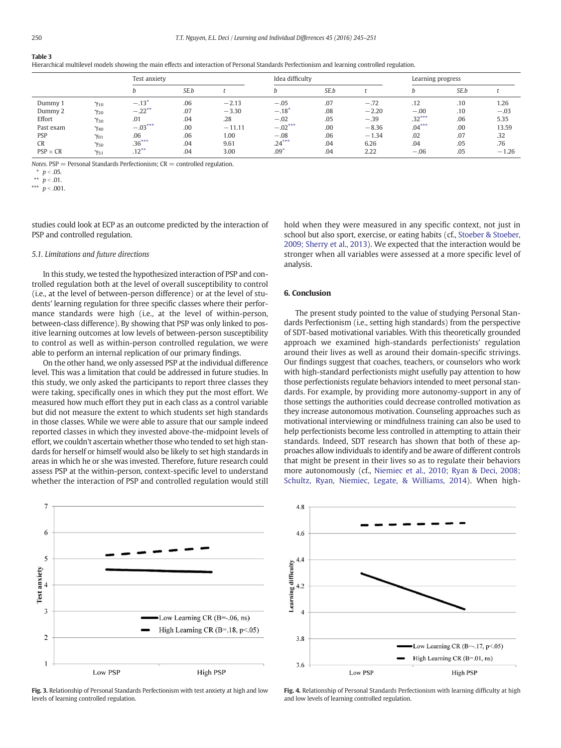<span id="page-5-0"></span>

Hierarchical multilevel models showing the main effects and interaction of Personal Standards Perfectionism and learning controlled regulation.

|                 |               | Test anxiety        |      |          | Idea difficulty |      |         | Learning progress |      |         |
|-----------------|---------------|---------------------|------|----------|-----------------|------|---------|-------------------|------|---------|
|                 |               |                     | SE.b |          |                 | SE.b |         |                   | SE.b |         |
| Dummy 1         | $\gamma_{10}$ | $-.13$ <sup>*</sup> | .06  | $-2.13$  | $-.05$          | .07  | $-.72$  | .12               | .10  | 1.26    |
| Dummy 2         | $\gamma_{20}$ | $-.22***$           | .07  | $-3.30$  | $-.18$          | .08  | $-2.20$ | $-.00$            | .10  | $-.03$  |
| Effort          | $\gamma_{30}$ | .01                 | .04  | .28      | $-.02$          | .05  | $-.39$  | $.32***$          | .06  | 5.35    |
| Past exam       | $\gamma_{40}$ | $-.03***$           | .00  | $-11.11$ | $-.02***$       | .00  | $-8.36$ | $.04***$          | .00  | 13.59   |
| <b>PSP</b>      | $\gamma_{01}$ | .06                 | .06  | 1.00     | $-.08$          | .06  | $-1.34$ | .02               | .07  | .32     |
| <b>CR</b>       | $\gamma_{50}$ | $.36***$            | .04  | 9.61     | $.24***$        | .04  | 6.26    | .04               | .05  | .76     |
| $PSP \times CR$ | $\gamma_{51}$ | $.12***$            | .04  | 3.00     | $.09*$          | .04  | 2.22    | $-.06$            | .05  | $-1.26$ |

Notes.  $PSP =$  Personal Standards Perfectionism;  $CR =$  controlled regulation.

\*\*\*  $p < .001$ .

studies could look at ECP as an outcome predicted by the interaction of PSP and controlled regulation.

#### 5.1. Limitations and future directions

In this study, we tested the hypothesized interaction of PSP and controlled regulation both at the level of overall susceptibility to control (i.e., at the level of between-person difference) or at the level of students' learning regulation for three specific classes where their performance standards were high (i.e., at the level of within-person, between-class difference). By showing that PSP was only linked to positive learning outcomes at low levels of between-person susceptibility to control as well as within-person controlled regulation, we were able to perform an internal replication of our primary findings.

On the other hand, we only assessed PSP at the individual difference level. This was a limitation that could be addressed in future studies. In this study, we only asked the participants to report three classes they were taking, specifically ones in which they put the most effort. We measured how much effort they put in each class as a control variable but did not measure the extent to which students set high standards in those classes. While we were able to assure that our sample indeed reported classes in which they invested above-the-midpoint levels of effort, we couldn't ascertain whether those who tended to set high standards for herself or himself would also be likely to set high standards in areas in which he or she was invested. Therefore, future research could assess PSP at the within-person, context-specific level to understand whether the interaction of PSP and controlled regulation would still



Fig. 3. Relationship of Personal Standards Perfectionism with test anxiety at high and low levels of learning controlled regulation.

hold when they were measured in any specific context, not just in school but also sport, exercise, or eating habits (cf., [Stoeber & Stoeber,](#page-6-0) [2009; Sherry et al., 2013\)](#page-6-0). We expected that the interaction would be stronger when all variables were assessed at a more specific level of analysis.

#### 6. Conclusion

The present study pointed to the value of studying Personal Standards Perfectionism (i.e., setting high standards) from the perspective of SDT-based motivational variables. With this theoretically grounded approach we examined high-standards perfectionists' regulation around their lives as well as around their domain-specific strivings. Our findings suggest that coaches, teachers, or counselors who work with high-standard perfectionists might usefully pay attention to how those perfectionists regulate behaviors intended to meet personal standards. For example, by providing more autonomy-support in any of those settings the authorities could decrease controlled motivation as they increase autonomous motivation. Counseling approaches such as motivational interviewing or mindfulness training can also be used to help perfectionists become less controlled in attempting to attain their standards. Indeed, SDT research has shown that both of these approaches allow individuals to identify and be aware of different controls that might be present in their lives so as to regulate their behaviors more autonomously (cf., [Niemiec et al., 2010; Ryan & Deci, 2008;](#page-6-0) [Schultz, Ryan, Niemiec, Legate, & Williams, 2014\)](#page-6-0). When high-



Fig. 4. Relationship of Personal Standards Perfectionism with learning difficulty at high and low levels of learning controlled regulation.

<sup>\*</sup>  $p < .05$ .

 $p < .01$ .